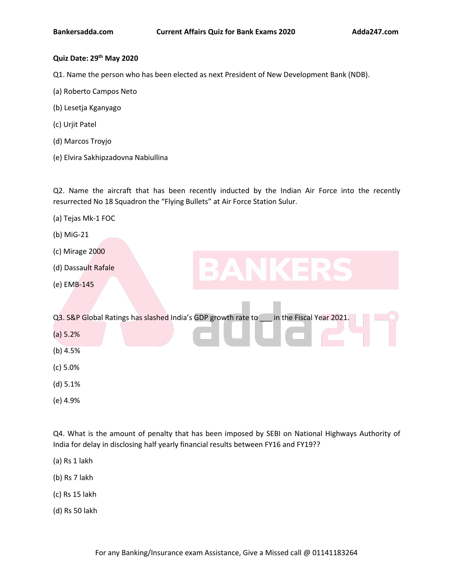# **Quiz Date: 29 th May 2020**

Q1. Name the person who has been elected as next President of New Development Bank (NDB).

- (a) Roberto Campos Neto
- (b) Lesetja Kganyago
- (c) Urjit Patel
- (d) Marcos Troyjo
- (e) Elvira Sakhipzadovna Nabiullina

Q2. Name the aircraft that has been recently inducted by the Indian Air Force into the recently resurrected No 18 Squadron the "Flying Bullets" at Air Force Station Sulur.

- (a) Tejas Mk-1 FOC
- (b) MiG-21
- (c) Mirage 2000
- (d) Dassault Rafale
- (e) EMB-145

Q3. S&P Global Ratings has slashed India's GDP [growth](https://www.adda247.com/product-onlineliveclasses/3936/bank-maha-pack-6-months) rate to \_\_\_ in the Fiscal Year 2021.

- (a) 5.2%
- (b) 4.5%
- (c) 5.0%
- (d) 5.1%
- (e) 4.9%

Q4. What is the amount of penalty that has been imposed by SEBI on National Highways Authority of India for delay in disclosing half yearly financial results between FY16 and FY19??

- (a) Rs 1 lakh
- (b) Rs 7 lakh
- (c) Rs 15 lakh
- (d) Rs 50 lakh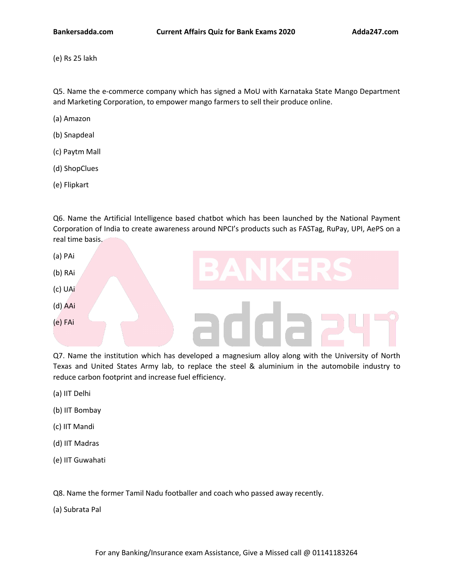(e) Rs 25 lakh

Q5. Name the e-commerce company which has signed a MoU with Karnataka State Mango Department and Marketing Corporation, to empower mango farmers to sell their produce online.

- (a) Amazon
- (b) Snapdeal
- (c) Paytm Mall
- (d) ShopClues
- (e) Flipkart

Q6. Name the Artificial Intelligence based chatbot which has been launched by the National Payment Corporation of India to create awareness around NPCI's [products](https://www.adda247.com/product-onlineliveclasses/3540/sbi-po-ka-maha-pack-online-live-classes-test-series-video-courses-ebooks-in-english-medium) such as FASTag, RuPay, UPI, AePS on a real time basis.



Q7. Name the institution which has developed a magnesium alloy along with the University of North Texas and United States Army lab, to replace the steel & aluminium in the automobile industry to reduce carbon footprint and increase fuel efficiency.

- (a) IIT Delhi
- (b) IIT Bombay
- (c) IIT Mandi
- (d) IIT Madras
- (e) IIT Guwahati

Q8. Name the former Tamil Nadu footballer and coach who passed away recently.<br>(a) Subrata Pal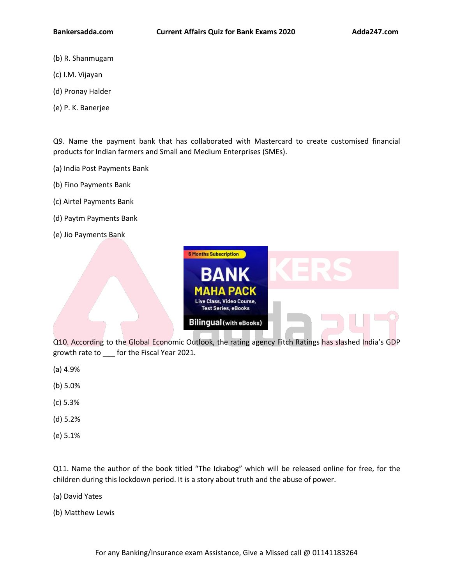- (b) R. Shanmugam
- (c) I.M. Vijayan
- (d) Pronay Halder
- (e) P.K. Banerjee

Q9. Name the payment bank that has collaborated with Mastercard to create customised financial products for Indian farmers and Small and Medium Enterprises (SMEs).

- (a) India Post Payments Bank
- (b) Fino Payments Bank
- (c) Airtel Payments Bank
- (d) Paytm Payments Bank
- (e) Jio Payments Bank



Q10. According to the Global Economic Outlook, the rating agency Fitch Ratings has slashed India's GDP growth rate to \_\_\_ for the Fiscal Year 2021.

- (a) 4.9%
- (b) 5.0%
- (c) 5.3%
- (d) 5.2%
- (e) 5.1%

Q11. Name the author of the book titled "The Ickabog" which will be released online for free, for the children during this lockdown period. It is a story about truth and the abuse of power.

(a) David Yates

(b) Matthew Lewis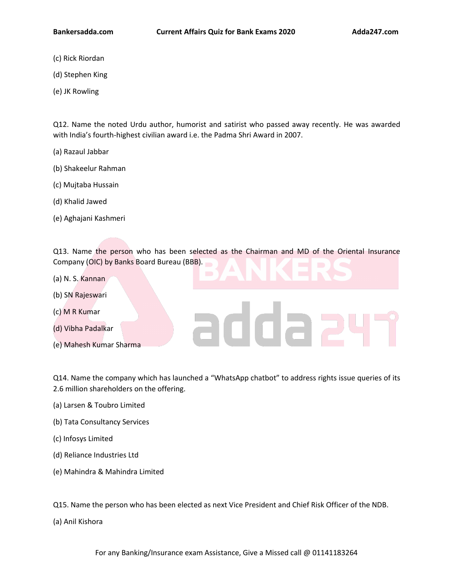- (c) Rick Riordan
- (d) Stephen King
- (e) JK Rowling

Q12. Name the noted Urdu author, humorist and satirist who passed away recently. He was awarded with India's fourth-highest civilian award i.e. the Padma Shri Award in 2007.

- (a) Razaul Jabbar
- (b) Shakeelur Rahman
- (c) Mujtaba Hussain
- (d) Khalid Jawed
- (e) Aghajani Kashmeri

Q13. Name the person who has been [selected](https://www.adda247.com/product-onlineliveclasses/3936/bank-maha-pack-6-months) as the Chairman and MD of the Oriental Insurance Company (OIC) by Banks Board Bureau (BBB).

- (a) N. S. Kannan
- (b) SN Rajeswari
- 
- (c) M R Kumar<br>(d) Vibha Padalkar<br>
(d) Vibha Padalkar (d) Vibha Padalkar
- (e) Mahesh Kumar Sharma

Q14. Name the company which has launched a "WhatsApp chatbot" to address rights issue queries of its 2.6 million shareholders on the offering.(a) Larsen & Toubro Limited

- 
- (b) Tata Consultancy Services
- (c) Infosys Limited
- (d) Reliance Industries Ltd
- (e) Mahindra & Mahindra Limited

Q15. Name the person who has been elected as next Vice President and Chief Risk Officer of the NDB.

(a) Anil Kishora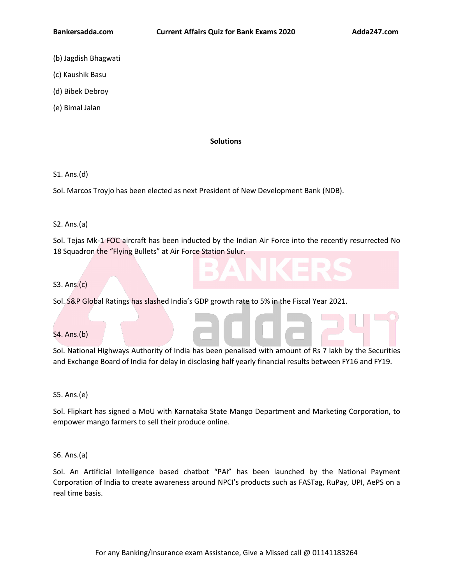- (b) Jagdish Bhagwati
- (c) Kaushik Basu
- (d) Bibek Debroy
- (e) Bimal Jalan

#### **Solutions**

S1. Ans.(d)

Sol. Marcos Troyjo has been elected as next President of New Development Bank (NDB).

#### S2. Ans.(a)

Sol. Tejas Mk-1 FOC aircraft has been i[nducted](https://www.adda247.com/product-onlineliveclasses/3540/sbi-po-ka-maha-pack-online-live-classes-test-series-video-courses-ebooks-in-english-medium) by the Indian Air Force into the recently resurrected No 18 Squadron the "Flying Bullets" at Air Force Station Sulur.

## S3. Ans.(c)

Sol. S&P Global Ratings has slashed India's GDP [growth](https://www.adda247.com/product-onlineliveclasses/3936/bank-maha-pack-6-months) rate to 5% in the Fiscal Year 2021.

#### S4. Ans.(b)

Sol. National Highways Authority of India has been penalised with amount of Rs 7 lakh by the Securities and Exchange Board of India for delay in disclosing half yearly financial results between FY16 and FY19.

S5. Ans.(e)

Sol. Flipkart has signed a MoU with Karnataka State Mango Department and Marketing Corporation, to empower mango farmers to sell their produce online.

S6. Ans.(a)

Sol. An Artificial Intelligence based chatbot "PAi" has been launched by the National Payment Corporation of India to create awareness around NPCI's products such as FASTag, RuPay, UPI, AePS on a real time basis.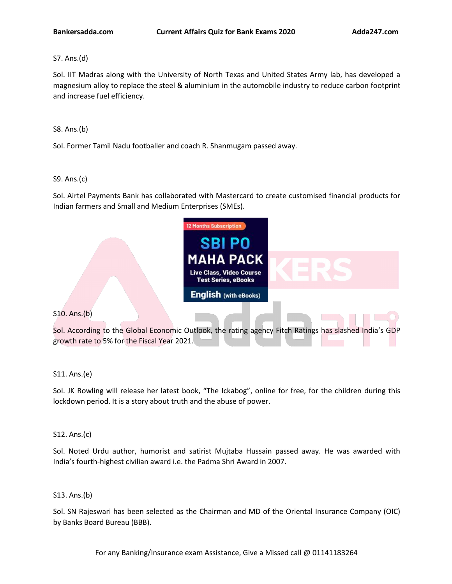S7. Ans.(d)

Sol. IIT Madras along with the University of North Texas and United States Army lab, has developed a magnesium alloy to replace the steel & aluminium in the automobile industry to reduce carbon footprint and increase fuel efficiency.

S8. Ans.(b)

Sol. Former Tamil Nadu footballer and coach R. Shanmugam passed away.

## S9. Ans.(c)

Sol. Airtel Payments Bank has collaborated with Mastercard to create customised financial products for Indian farmers and Small and Medium Enterprises (SMEs).



S11. Ans.(e)

S10. Ans.(b)

Sol. JK Rowling will release her latest book, "The Ickabog", online for free, for the children during this lockdown period. It is a story about truth and the abuse of power.

S12. Ans.(c)

Sol. Noted Urdu author, humorist and satirist Muitaba Hussain passed away. He was awarded with India's fourth-highest civilian award i.e. the Padma Shri Award in 2007.

# S13. Ans.(b)

Sol. SN Rajeswari has been selected as the Chairman and MD of the Oriental Insurance Company (OIC) by Banks Board Bureau (BBB).